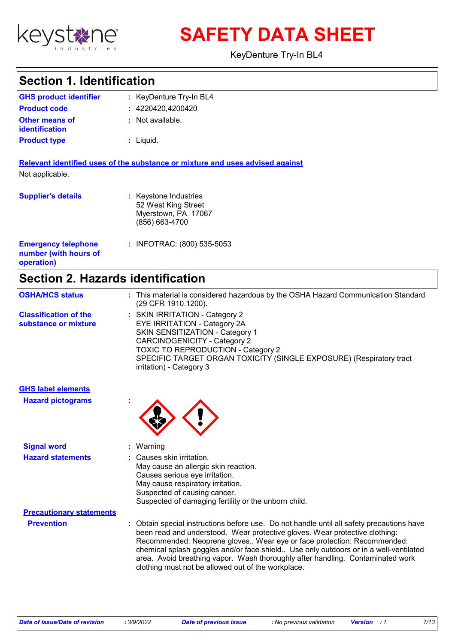

**SAFETY DATA SHEET**

KeyDenture Try-In BL4

# **Section 1. Identification**

| <b>GHS product identifier</b>                  | : KeyDenture Try-In BL4 |
|------------------------------------------------|-------------------------|
| <b>Product code</b>                            | : 4220420.4200420       |
| <b>Other means of</b><br><b>identification</b> | : Not available.        |
| <b>Product type</b>                            | $:$ Liquid.             |

**Relevant identified uses of the substance or mixture and uses advised against** Not applicable.

| <b>Supplier's details</b>                                         | : Keystone Industries<br>52 West King Street<br>Myerstown, PA 17067<br>(856) 663-4700 |
|-------------------------------------------------------------------|---------------------------------------------------------------------------------------|
| <b>Emergency telephone</b><br>number (with hours of<br>operation) | : INFOTRAC: (800) 535-5053                                                            |

# **Section 2. Hazards identification**

| <b>OSHA/HCS status</b>                               | : This material is considered hazardous by the OSHA Hazard Communication Standard<br>(29 CFR 1910.1200).                                                                                                                                                                                        |
|------------------------------------------------------|-------------------------------------------------------------------------------------------------------------------------------------------------------------------------------------------------------------------------------------------------------------------------------------------------|
| <b>Classification of the</b><br>substance or mixture | : SKIN IRRITATION - Category 2<br>EYE IRRITATION - Category 2A<br><b>SKIN SENSITIZATION - Category 1</b><br><b>CARCINOGENICITY - Category 2</b><br><b>TOXIC TO REPRODUCTION - Category 2</b><br>SPECIFIC TARGET ORGAN TOXICITY (SINGLE EXPOSURE) (Respiratory tract<br>irritation) - Category 3 |

| <b>GHS label elements</b>       |                                                                                                                                                                                                                                                                                                                                                                                                                                                                                    |
|---------------------------------|------------------------------------------------------------------------------------------------------------------------------------------------------------------------------------------------------------------------------------------------------------------------------------------------------------------------------------------------------------------------------------------------------------------------------------------------------------------------------------|
| <b>Hazard pictograms</b>        | $\mathbf{r}$                                                                                                                                                                                                                                                                                                                                                                                                                                                                       |
| <b>Signal word</b>              | $:$ Warning                                                                                                                                                                                                                                                                                                                                                                                                                                                                        |
| <b>Hazard statements</b>        | : Causes skin irritation.<br>May cause an allergic skin reaction.<br>Causes serious eye irritation.<br>May cause respiratory irritation.<br>Suspected of causing cancer.<br>Suspected of damaging fertility or the unborn child.                                                                                                                                                                                                                                                   |
| <b>Precautionary statements</b> |                                                                                                                                                                                                                                                                                                                                                                                                                                                                                    |
| <b>Prevention</b>               | : Obtain special instructions before use. Do not handle until all safety precautions have<br>been read and understood. Wear protective gloves. Wear protective clothing:<br>Recommended: Neoprene gloves Wear eye or face protection: Recommended:<br>chemical splash goggles and/or face shield Use only outdoors or in a well-ventilated<br>area. Avoid breathing vapor. Wash thoroughly after handling. Contaminated work<br>clothing must not be allowed out of the workplace. |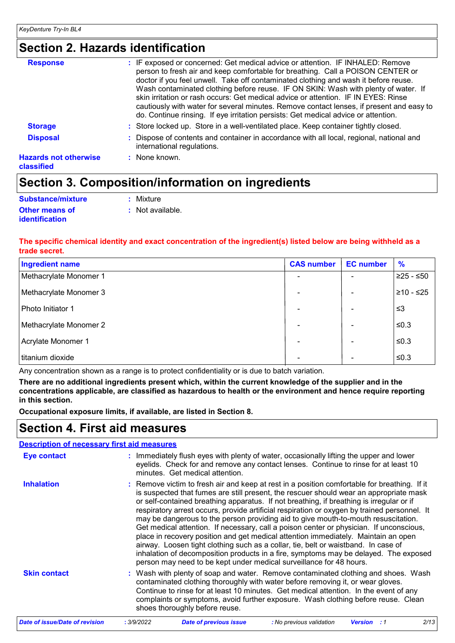# **Section 2. Hazards identification**

| <b>Response</b>                            | : IF exposed or concerned: Get medical advice or attention. IF INHALED: Remove<br>person to fresh air and keep comfortable for breathing. Call a POISON CENTER or<br>doctor if you feel unwell. Take off contaminated clothing and wash it before reuse.<br>Wash contaminated clothing before reuse. IF ON SKIN: Wash with plenty of water. If<br>skin irritation or rash occurs: Get medical advice or attention. IF IN EYES: Rinse<br>cautiously with water for several minutes. Remove contact lenses, if present and easy to<br>do. Continue rinsing. If eye irritation persists: Get medical advice or attention. |
|--------------------------------------------|------------------------------------------------------------------------------------------------------------------------------------------------------------------------------------------------------------------------------------------------------------------------------------------------------------------------------------------------------------------------------------------------------------------------------------------------------------------------------------------------------------------------------------------------------------------------------------------------------------------------|
| <b>Storage</b>                             | : Store locked up. Store in a well-ventilated place. Keep container tightly closed.                                                                                                                                                                                                                                                                                                                                                                                                                                                                                                                                    |
| <b>Disposal</b>                            | : Dispose of contents and container in accordance with all local, regional, national and<br>international regulations.                                                                                                                                                                                                                                                                                                                                                                                                                                                                                                 |
| <b>Hazards not otherwise</b><br>classified | $:$ None known.                                                                                                                                                                                                                                                                                                                                                                                                                                                                                                                                                                                                        |

# **Section 3. Composition/information on ingredients**

| Substance/mixture     | : Mixture        |
|-----------------------|------------------|
| <b>Other means of</b> | : Not available. |
| <b>identification</b> |                  |

### **The specific chemical identity and exact concentration of the ingredient(s) listed below are being withheld as a trade secret.**

| <b>Ingredient name</b> | <b>CAS number</b> | <b>EC</b> number | $\frac{9}{6}$ |
|------------------------|-------------------|------------------|---------------|
| Methacrylate Monomer 1 |                   |                  | $≥25 - ≤50$   |
| Methacrylate Monomer 3 |                   |                  | $≥10 - ≤25$   |
| Photo Initiator 1      |                   |                  | ≲3            |
| Methacrylate Monomer 2 |                   |                  | $≤0.3$        |
| Acrylate Monomer 1     |                   |                  | $≤0.3$        |
| titanium dioxide       | -                 |                  | $≤0.3$        |

Any concentration shown as a range is to protect confidentiality or is due to batch variation.

**There are no additional ingredients present which, within the current knowledge of the supplier and in the concentrations applicable, are classified as hazardous to health or the environment and hence require reporting in this section.**

**Occupational exposure limits, if available, are listed in Section 8.**

## **Section 4. First aid measures**

### **Description of necessary first aid measures**

| <b>Eye contact</b>  | : Immediately flush eyes with plenty of water, occasionally lifting the upper and lower<br>eyelids. Check for and remove any contact lenses. Continue to rinse for at least 10<br>minutes. Get medical attention.                                                                                                                                                                                                                                                                                                                                                                                                                                                                                                                                                                                                                                                                                              |
|---------------------|----------------------------------------------------------------------------------------------------------------------------------------------------------------------------------------------------------------------------------------------------------------------------------------------------------------------------------------------------------------------------------------------------------------------------------------------------------------------------------------------------------------------------------------------------------------------------------------------------------------------------------------------------------------------------------------------------------------------------------------------------------------------------------------------------------------------------------------------------------------------------------------------------------------|
| <b>Inhalation</b>   | : Remove victim to fresh air and keep at rest in a position comfortable for breathing. If it<br>is suspected that fumes are still present, the rescuer should wear an appropriate mask<br>or self-contained breathing apparatus. If not breathing, if breathing is irregular or if<br>respiratory arrest occurs, provide artificial respiration or oxygen by trained personnel. It<br>may be dangerous to the person providing aid to give mouth-to-mouth resuscitation.<br>Get medical attention. If necessary, call a poison center or physician. If unconscious,<br>place in recovery position and get medical attention immediately. Maintain an open<br>airway. Loosen tight clothing such as a collar, tie, belt or waistband. In case of<br>inhalation of decomposition products in a fire, symptoms may be delayed. The exposed<br>person may need to be kept under medical surveillance for 48 hours. |
| <b>Skin contact</b> | : Wash with plenty of soap and water. Remove contaminated clothing and shoes. Wash<br>contaminated clothing thoroughly with water before removing it, or wear gloves.<br>Continue to rinse for at least 10 minutes. Get medical attention. In the event of any<br>complaints or symptoms, avoid further exposure. Wash clothing before reuse. Clean<br>shoes thoroughly before reuse.                                                                                                                                                                                                                                                                                                                                                                                                                                                                                                                          |

| Date of issue/Date of revision | 3/9/2022 | <b>Date of previous issue</b> | : No previous validation | <b>Version</b> : 1 | 2/13 |
|--------------------------------|----------|-------------------------------|--------------------------|--------------------|------|
|                                |          |                               |                          |                    |      |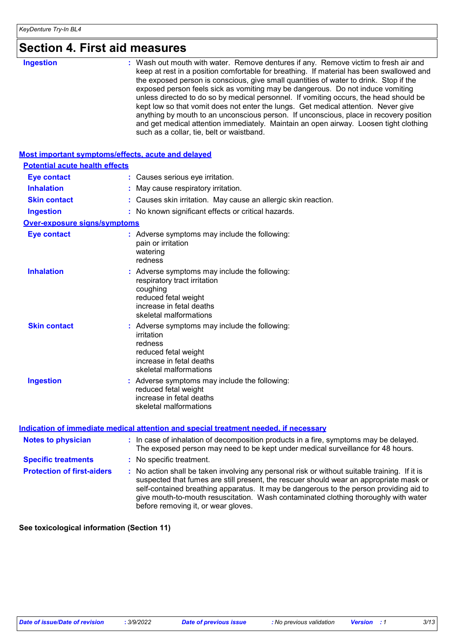| Section 4. First ald measures         |                                                                                                                                                                                                                                                                                                                                                                                                                                                                                                                                                                                                                                                                                                                                                                           |
|---------------------------------------|---------------------------------------------------------------------------------------------------------------------------------------------------------------------------------------------------------------------------------------------------------------------------------------------------------------------------------------------------------------------------------------------------------------------------------------------------------------------------------------------------------------------------------------------------------------------------------------------------------------------------------------------------------------------------------------------------------------------------------------------------------------------------|
| <b>Ingestion</b>                      | : Wash out mouth with water. Remove dentures if any. Remove victim to fresh air and<br>keep at rest in a position comfortable for breathing. If material has been swallowed and<br>the exposed person is conscious, give small quantities of water to drink. Stop if the<br>exposed person feels sick as vomiting may be dangerous. Do not induce vomiting<br>unless directed to do so by medical personnel. If vomiting occurs, the head should be<br>kept low so that vomit does not enter the lungs. Get medical attention. Never give<br>anything by mouth to an unconscious person. If unconscious, place in recovery position<br>and get medical attention immediately. Maintain an open airway. Loosen tight clothing<br>such as a collar, tie, belt or waistband. |
|                                       | <b>Most important symptoms/effects, acute and delayed</b>                                                                                                                                                                                                                                                                                                                                                                                                                                                                                                                                                                                                                                                                                                                 |
| <b>Potential acute health effects</b> |                                                                                                                                                                                                                                                                                                                                                                                                                                                                                                                                                                                                                                                                                                                                                                           |
| <b>Eye contact</b>                    | : Causes serious eye irritation.                                                                                                                                                                                                                                                                                                                                                                                                                                                                                                                                                                                                                                                                                                                                          |
| <b>Inhalation</b>                     | : May cause respiratory irritation.                                                                                                                                                                                                                                                                                                                                                                                                                                                                                                                                                                                                                                                                                                                                       |
| <b>Skin contact</b>                   | : Causes skin irritation. May cause an allergic skin reaction.                                                                                                                                                                                                                                                                                                                                                                                                                                                                                                                                                                                                                                                                                                            |
| <b>Ingestion</b>                      | : No known significant effects or critical hazards.                                                                                                                                                                                                                                                                                                                                                                                                                                                                                                                                                                                                                                                                                                                       |
| <b>Over-exposure signs/symptoms</b>   |                                                                                                                                                                                                                                                                                                                                                                                                                                                                                                                                                                                                                                                                                                                                                                           |
| <b>Eye contact</b>                    | : Adverse symptoms may include the following:<br>pain or irritation<br>watering<br>redness                                                                                                                                                                                                                                                                                                                                                                                                                                                                                                                                                                                                                                                                                |
| <b>Inhalation</b>                     | : Adverse symptoms may include the following:<br>respiratory tract irritation<br>coughing<br>reduced fetal weight<br>increase in fetal deaths<br>skeletal malformations                                                                                                                                                                                                                                                                                                                                                                                                                                                                                                                                                                                                   |
| <b>Skin contact</b>                   | : Adverse symptoms may include the following:<br>irritation<br>redness<br>reduced fetal weight<br>increase in fetal deaths<br>skeletal malformations                                                                                                                                                                                                                                                                                                                                                                                                                                                                                                                                                                                                                      |
| <b>Ingestion</b>                      | : Adverse symptoms may include the following:<br>reduced fetal weight<br>increase in fetal deaths<br>skeletal malformations                                                                                                                                                                                                                                                                                                                                                                                                                                                                                                                                                                                                                                               |
|                                       | Indication of immediate medical attention and special treatment needed, if necessary                                                                                                                                                                                                                                                                                                                                                                                                                                                                                                                                                                                                                                                                                      |
| <b>Notes to physician</b>             | : In case of inhalation of decomposition products in a fire, symptoms may be delayed.                                                                                                                                                                                                                                                                                                                                                                                                                                                                                                                                                                                                                                                                                     |
|                                       | The exposed person may need to be kept under medical surveillance for 48 hours.                                                                                                                                                                                                                                                                                                                                                                                                                                                                                                                                                                                                                                                                                           |

| <b>Specific treatments</b>        | : No specific treatment.                                                                                                                                                                                                                                                                                                                                                                                        |
|-----------------------------------|-----------------------------------------------------------------------------------------------------------------------------------------------------------------------------------------------------------------------------------------------------------------------------------------------------------------------------------------------------------------------------------------------------------------|
| <b>Protection of first-aiders</b> | : No action shall be taken involving any personal risk or without suitable training. If it is<br>suspected that fumes are still present, the rescuer should wear an appropriate mask or<br>self-contained breathing apparatus. It may be dangerous to the person providing aid to<br>give mouth-to-mouth resuscitation. Wash contaminated clothing thoroughly with water<br>before removing it, or wear gloves. |

**See toxicological information (Section 11)**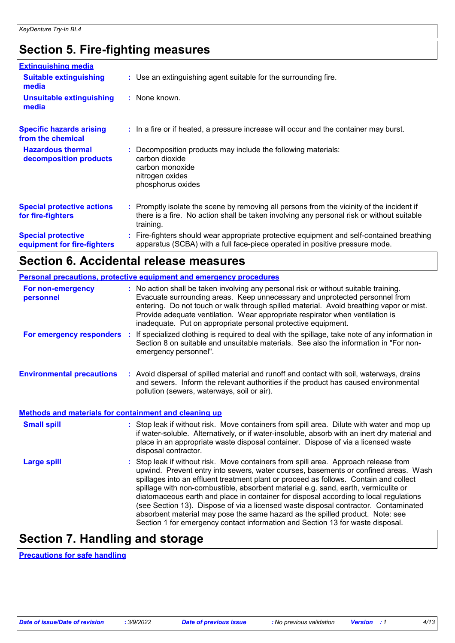# **Section 5. Fire-fighting measures**

| <b>Extinguishing media</b>                               |                                                                                                                                                                                                     |
|----------------------------------------------------------|-----------------------------------------------------------------------------------------------------------------------------------------------------------------------------------------------------|
| <b>Suitable extinguishing</b><br>media                   | : Use an extinguishing agent suitable for the surrounding fire.                                                                                                                                     |
| <b>Unsuitable extinguishing</b><br>media                 | : None known.                                                                                                                                                                                       |
| <b>Specific hazards arising</b><br>from the chemical     | : In a fire or if heated, a pressure increase will occur and the container may burst.                                                                                                               |
| <b>Hazardous thermal</b><br>decomposition products       | Decomposition products may include the following materials:<br>carbon dioxide<br>carbon monoxide<br>nitrogen oxides<br>phosphorus oxides                                                            |
| <b>Special protective actions</b><br>for fire-fighters   | : Promptly isolate the scene by removing all persons from the vicinity of the incident if<br>there is a fire. No action shall be taken involving any personal risk or without suitable<br>training. |
| <b>Special protective</b><br>equipment for fire-fighters | Fire-fighters should wear appropriate protective equipment and self-contained breathing<br>apparatus (SCBA) with a full face-piece operated in positive pressure mode.                              |

# **Section 6. Accidental release measures**

|                                                              | Personal precautions, protective equipment and emergency procedures                                                                                                                                                                                                                                                                                                                                                                                                                                                                                                                                                                                                                                        |
|--------------------------------------------------------------|------------------------------------------------------------------------------------------------------------------------------------------------------------------------------------------------------------------------------------------------------------------------------------------------------------------------------------------------------------------------------------------------------------------------------------------------------------------------------------------------------------------------------------------------------------------------------------------------------------------------------------------------------------------------------------------------------------|
| <b>For non-emergency</b><br>personnel                        | : No action shall be taken involving any personal risk or without suitable training.<br>Evacuate surrounding areas. Keep unnecessary and unprotected personnel from<br>entering. Do not touch or walk through spilled material. Avoid breathing vapor or mist.<br>Provide adequate ventilation. Wear appropriate respirator when ventilation is<br>inadequate. Put on appropriate personal protective equipment.                                                                                                                                                                                                                                                                                           |
| For emergency responders                                     | If specialized clothing is required to deal with the spillage, take note of any information in<br>÷.<br>Section 8 on suitable and unsuitable materials. See also the information in "For non-<br>emergency personnel".                                                                                                                                                                                                                                                                                                                                                                                                                                                                                     |
| <b>Environmental precautions</b>                             | : Avoid dispersal of spilled material and runoff and contact with soil, waterways, drains<br>and sewers. Inform the relevant authorities if the product has caused environmental<br>pollution (sewers, waterways, soil or air).                                                                                                                                                                                                                                                                                                                                                                                                                                                                            |
| <b>Methods and materials for containment and cleaning up</b> |                                                                                                                                                                                                                                                                                                                                                                                                                                                                                                                                                                                                                                                                                                            |
| <b>Small spill</b>                                           | : Stop leak if without risk. Move containers from spill area. Dilute with water and mop up<br>if water-soluble. Alternatively, or if water-insoluble, absorb with an inert dry material and<br>place in an appropriate waste disposal container. Dispose of via a licensed waste<br>disposal contractor.                                                                                                                                                                                                                                                                                                                                                                                                   |
| <b>Large spill</b>                                           | Stop leak if without risk. Move containers from spill area. Approach release from<br>upwind. Prevent entry into sewers, water courses, basements or confined areas. Wash<br>spillages into an effluent treatment plant or proceed as follows. Contain and collect<br>spillage with non-combustible, absorbent material e.g. sand, earth, vermiculite or<br>diatomaceous earth and place in container for disposal according to local regulations<br>(see Section 13). Dispose of via a licensed waste disposal contractor. Contaminated<br>absorbent material may pose the same hazard as the spilled product. Note: see<br>Section 1 for emergency contact information and Section 13 for waste disposal. |

# **Section 7. Handling and storage**

**Precautions for safe handling**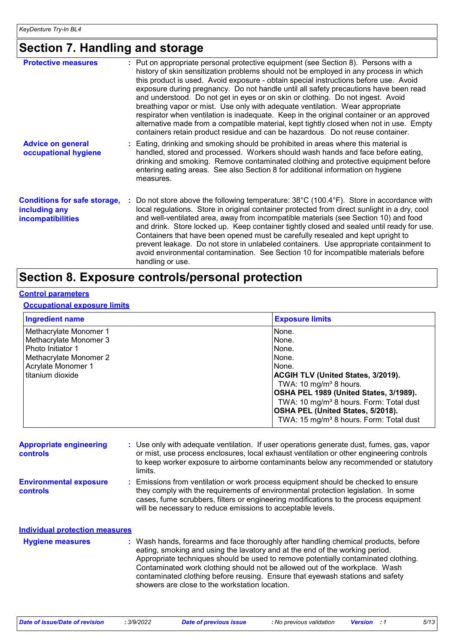# **Section 7. Handling and storage**

| <b>Protective measures</b>                                                       | : Put on appropriate personal protective equipment (see Section 8). Persons with a<br>history of skin sensitization problems should not be employed in any process in which<br>this product is used. Avoid exposure - obtain special instructions before use. Avoid<br>exposure during pregnancy. Do not handle until all safety precautions have been read<br>and understood. Do not get in eyes or on skin or clothing. Do not ingest. Avoid<br>breathing vapor or mist. Use only with adequate ventilation. Wear appropriate<br>respirator when ventilation is inadequate. Keep in the original container or an approved<br>alternative made from a compatible material, kept tightly closed when not in use. Empty<br>containers retain product residue and can be hazardous. Do not reuse container. |
|----------------------------------------------------------------------------------|-----------------------------------------------------------------------------------------------------------------------------------------------------------------------------------------------------------------------------------------------------------------------------------------------------------------------------------------------------------------------------------------------------------------------------------------------------------------------------------------------------------------------------------------------------------------------------------------------------------------------------------------------------------------------------------------------------------------------------------------------------------------------------------------------------------|
| <b>Advice on general</b><br>occupational hygiene                                 | : Eating, drinking and smoking should be prohibited in areas where this material is<br>handled, stored and processed. Workers should wash hands and face before eating,<br>drinking and smoking. Remove contaminated clothing and protective equipment before<br>entering eating areas. See also Section 8 for additional information on hygiene<br>measures.                                                                                                                                                                                                                                                                                                                                                                                                                                             |
| <b>Conditions for safe storage,</b><br>including any<br><b>incompatibilities</b> | : Do not store above the following temperature: $38^{\circ}$ C (100.4 $^{\circ}$ F). Store in accordance with<br>local regulations. Store in original container protected from direct sunlight in a dry, cool<br>and well-ventilated area, away from incompatible materials (see Section 10) and food<br>and drink. Store locked up. Keep container tightly closed and sealed until ready for use.<br>Containers that have been opened must be carefully resealed and kept upright to<br>prevent leakage. Do not store in unlabeled containers. Use appropriate containment to<br>avoid environmental contamination. See Section 10 for incompatible materials before<br>handling or use.                                                                                                                 |

# **Section 8. Exposure controls/personal protection**

### **Control parameters**

### **Occupational exposure limits**

| <b>Ingredient name</b>                                                                                                                    | <b>Exposure limits</b>                                                                                                                                                                                                                                                                                                    |
|-------------------------------------------------------------------------------------------------------------------------------------------|---------------------------------------------------------------------------------------------------------------------------------------------------------------------------------------------------------------------------------------------------------------------------------------------------------------------------|
| Methacrylate Monomer 1<br>Methacrylate Monomer 3<br>Photo Initiator 1<br>Methacrylate Monomer 2<br>Acrylate Monomer 1<br>titanium dioxide | None.<br>None.<br>None.<br>None.<br>None.<br><b>ACGIH TLV (United States, 3/2019).</b><br>TWA: 10 mg/m <sup>3</sup> 8 hours.<br>OSHA PEL 1989 (United States, 3/1989).<br>TWA: 10 mg/m <sup>3</sup> 8 hours. Form: Total dust<br>OSHA PEL (United States, 5/2018).<br>TWA: 15 mg/m <sup>3</sup> 8 hours. Form: Total dust |

| <b>Appropriate engineering</b><br><b>controls</b> | : Use only with adequate ventilation. If user operations generate dust, fumes, gas, vapor<br>or mist, use process enclosures, local exhaust ventilation or other engineering controls<br>to keep worker exposure to airborne contaminants below any recommended or statutory<br>limits.                                                                                                                                                                                     |
|---------------------------------------------------|-----------------------------------------------------------------------------------------------------------------------------------------------------------------------------------------------------------------------------------------------------------------------------------------------------------------------------------------------------------------------------------------------------------------------------------------------------------------------------|
| <b>Environmental exposure</b><br>controls         | : Emissions from ventilation or work process equipment should be checked to ensure<br>they comply with the requirements of environmental protection legislation. In some<br>cases, fume scrubbers, filters or engineering modifications to the process equipment<br>will be necessary to reduce emissions to acceptable levels.                                                                                                                                             |
| <b>Individual protection measures</b>             |                                                                                                                                                                                                                                                                                                                                                                                                                                                                             |
| <b>Hygiene measures</b>                           | : Wash hands, forearms and face thoroughly after handling chemical products, before<br>eating, smoking and using the lavatory and at the end of the working period.<br>Appropriate techniques should be used to remove potentially contaminated clothing.<br>Contaminated work clothing should not be allowed out of the workplace. Wash<br>contaminated clothing before reusing. Ensure that eyewash stations and safety<br>showers are close to the workstation location. |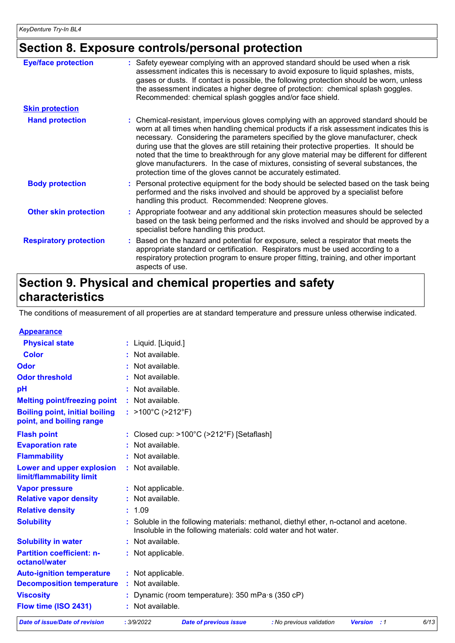# **Section 8. Exposure controls/personal protection**

| <b>Eye/face protection</b>    | : Safety eyewear complying with an approved standard should be used when a risk<br>assessment indicates this is necessary to avoid exposure to liquid splashes, mists,<br>gases or dusts. If contact is possible, the following protection should be worn, unless<br>the assessment indicates a higher degree of protection: chemical splash goggles.<br>Recommended: chemical splash goggles and/or face shield.                                                                                                                                                                                                      |
|-------------------------------|------------------------------------------------------------------------------------------------------------------------------------------------------------------------------------------------------------------------------------------------------------------------------------------------------------------------------------------------------------------------------------------------------------------------------------------------------------------------------------------------------------------------------------------------------------------------------------------------------------------------|
| <b>Skin protection</b>        |                                                                                                                                                                                                                                                                                                                                                                                                                                                                                                                                                                                                                        |
| <b>Hand protection</b>        | : Chemical-resistant, impervious gloves complying with an approved standard should be<br>worn at all times when handling chemical products if a risk assessment indicates this is<br>necessary. Considering the parameters specified by the glove manufacturer, check<br>during use that the gloves are still retaining their protective properties. It should be<br>noted that the time to breakthrough for any glove material may be different for different<br>glove manufacturers. In the case of mixtures, consisting of several substances, the<br>protection time of the gloves cannot be accurately estimated. |
| <b>Body protection</b>        | : Personal protective equipment for the body should be selected based on the task being<br>performed and the risks involved and should be approved by a specialist before<br>handling this product. Recommended: Neoprene gloves.                                                                                                                                                                                                                                                                                                                                                                                      |
| <b>Other skin protection</b>  | : Appropriate footwear and any additional skin protection measures should be selected<br>based on the task being performed and the risks involved and should be approved by a<br>specialist before handling this product.                                                                                                                                                                                                                                                                                                                                                                                              |
| <b>Respiratory protection</b> | : Based on the hazard and potential for exposure, select a respirator that meets the<br>appropriate standard or certification. Respirators must be used according to a<br>respiratory protection program to ensure proper fitting, training, and other important<br>aspects of use.                                                                                                                                                                                                                                                                                                                                    |

# **Section 9. Physical and chemical properties and safety characteristics**

The conditions of measurement of all properties are at standard temperature and pressure unless otherwise indicated.

| <b>Appearance</b>                                                 |                                                                                                                                                        |
|-------------------------------------------------------------------|--------------------------------------------------------------------------------------------------------------------------------------------------------|
| <b>Physical state</b>                                             | : Liquid. [Liquid.]                                                                                                                                    |
| <b>Color</b>                                                      | Not available.                                                                                                                                         |
| Odor                                                              | Not available.                                                                                                                                         |
| <b>Odor threshold</b>                                             | Not available.                                                                                                                                         |
| pH                                                                | : Not available.                                                                                                                                       |
| <b>Melting point/freezing point</b>                               | : Not available.                                                                                                                                       |
| <b>Boiling point, initial boiling</b><br>point, and boiling range | : $>100^{\circ}$ C ( $>212^{\circ}$ F)                                                                                                                 |
| <b>Flash point</b>                                                | : Closed cup: $>100^{\circ}$ C ( $>212^{\circ}$ F) [Setaflash]                                                                                         |
| <b>Evaporation rate</b>                                           | : Not available.                                                                                                                                       |
| <b>Flammability</b>                                               | : Not available.                                                                                                                                       |
| Lower and upper explosion<br>limit/flammability limit             | : Not available.                                                                                                                                       |
| <b>Vapor pressure</b>                                             | : Not applicable.                                                                                                                                      |
| <b>Relative vapor density</b>                                     | : Not available.                                                                                                                                       |
| <b>Relative density</b>                                           | : 1.09                                                                                                                                                 |
| <b>Solubility</b>                                                 | Soluble in the following materials: methanol, diethyl ether, n-octanol and acetone.<br>Insoluble in the following materials: cold water and hot water. |
| <b>Solubility in water</b>                                        | : Not available.                                                                                                                                       |
| <b>Partition coefficient: n-</b><br>octanol/water                 | : Not applicable.                                                                                                                                      |
| <b>Auto-ignition temperature</b>                                  | : Not applicable.                                                                                                                                      |
| <b>Decomposition temperature</b>                                  | : Not available.                                                                                                                                       |
| <b>Viscosity</b>                                                  | Dynamic (room temperature): 350 mPa·s (350 cP)                                                                                                         |
| Flow time (ISO 2431)                                              | : Not available.                                                                                                                                       |
| Data of inqualData of revision                                    | .200222<br>Data of provisue issue . No provisue validation . Vargion 14                                                                                |

*Date of issue/Date of revision* **:** *3/9/2022 Date of previous issue : No previous validation Version : 1 6/13*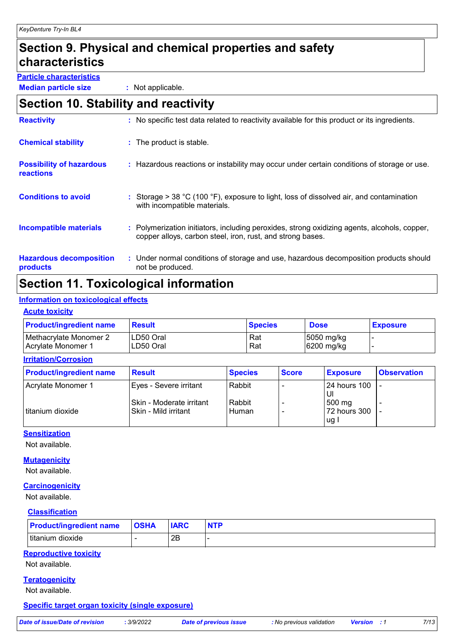# **Section 9. Physical and chemical properties and safety characteristics**

**Particle characteristics**

**Median particle size :** Not applicable.

# **Section 10. Stability and reactivity**

| <b>Reactivity</b>                            | : No specific test data related to reactivity available for this product or its ingredients.                                                               |
|----------------------------------------------|------------------------------------------------------------------------------------------------------------------------------------------------------------|
| <b>Chemical stability</b>                    | : The product is stable.                                                                                                                                   |
| <b>Possibility of hazardous</b><br>reactions | : Hazardous reactions or instability may occur under certain conditions of storage or use.                                                                 |
| <b>Conditions to avoid</b>                   | : Storage $> 38$ °C (100 °F), exposure to light, loss of dissolved air, and contamination<br>with incompatible materials.                                  |
| <b>Incompatible materials</b>                | : Polymerization initiators, including peroxides, strong oxidizing agents, alcohols, copper,<br>copper alloys, carbon steel, iron, rust, and strong bases. |
| <b>Hazardous decomposition</b><br>products   | : Under normal conditions of storage and use, hazardous decomposition products should<br>not be produced.                                                  |

# **Section 11. Toxicological information**

### **Information on toxicological effects**

### **Acute toxicity**

| <b>Product/ingredient name</b> | <b>Result</b> | <b>Species</b> | <b>Dose</b> | <b>Exposure</b> |
|--------------------------------|---------------|----------------|-------------|-----------------|
| Methacrylate Monomer 2         | LD50 Oral     | Rat            | 5050 mg/kg  |                 |
| <b>Acrylate Monomer 1</b>      | LD50 Oral     | Rat            | 6200 mg/kg  |                 |

### **Irritation/Corrosion**

| <b>Product/ingredient name</b> | <b>Result</b>            | <b>Species</b> | <b>Score</b> | <b>Exposure</b>     | <b>Observation</b> |
|--------------------------------|--------------------------|----------------|--------------|---------------------|--------------------|
| Acrylate Monomer 1             | Eyes - Severe irritant   | Rabbit         |              | <b>24 hours 100</b> |                    |
|                                | Skin - Moderate irritant | Rabbit         |              | IJ<br>500 mg        |                    |
| titanium dioxide               | Skin - Mild irritant     | Human          |              | 72 hours 300        |                    |
|                                |                          |                |              | lug l               |                    |

### **Sensitization**

Not available.

### **Mutagenicity**

Not available.

### **Carcinogenicity**

Not available.

### **Classification**

| <b>Product/ingredient name</b> | <b>OSHA</b> | <b>IARC</b> |  |
|--------------------------------|-------------|-------------|--|
| ±titanium dioxide              |             | 2B          |  |

### **Reproductive toxicity**

Not available.

### **Teratogenicity**

Not available.

### **Specific target organ toxicity (single exposure)**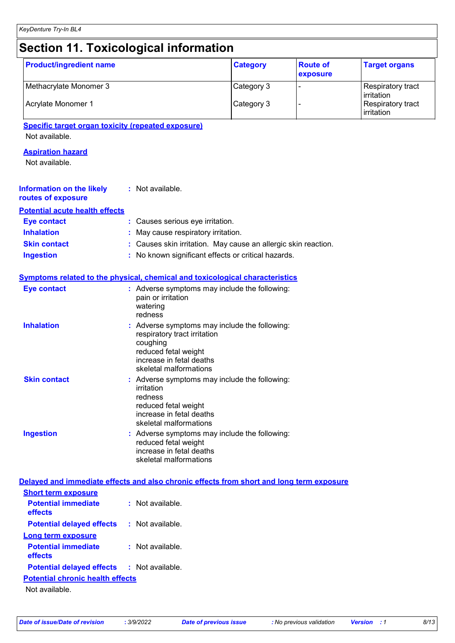# **Section 11. Toxicological information**

| <b>Product/ingredient name</b>                                                           |                                                                     | <b>Category</b> | <b>Route of</b><br>exposure | <b>Target organs</b>                          |
|------------------------------------------------------------------------------------------|---------------------------------------------------------------------|-----------------|-----------------------------|-----------------------------------------------|
| Methacrylate Monomer 3                                                                   |                                                                     | Category 3      |                             | Respiratory tract                             |
| Acrylate Monomer 1                                                                       |                                                                     | Category 3      |                             | irritation<br>Respiratory tract<br>irritation |
| <b>Specific target organ toxicity (repeated exposure)</b>                                |                                                                     |                 |                             |                                               |
| Not available.                                                                           |                                                                     |                 |                             |                                               |
| <b>Aspiration hazard</b>                                                                 |                                                                     |                 |                             |                                               |
| Not available.                                                                           |                                                                     |                 |                             |                                               |
| <b>Information on the likely</b><br>routes of exposure                                   | : Not available.                                                    |                 |                             |                                               |
| <b>Potential acute health effects</b>                                                    |                                                                     |                 |                             |                                               |
| <b>Eye contact</b>                                                                       | : Causes serious eye irritation.                                    |                 |                             |                                               |
| <b>Inhalation</b>                                                                        | May cause respiratory irritation.                                   |                 |                             |                                               |
| <b>Skin contact</b>                                                                      | : Causes skin irritation. May cause an allergic skin reaction.      |                 |                             |                                               |
| <b>Ingestion</b>                                                                         | : No known significant effects or critical hazards.                 |                 |                             |                                               |
| Symptoms related to the physical, chemical and toxicological characteristics             |                                                                     |                 |                             |                                               |
| <b>Eye contact</b>                                                                       | : Adverse symptoms may include the following:<br>pain or irritation |                 |                             |                                               |
|                                                                                          | watering<br>redness                                                 |                 |                             |                                               |
| <b>Inhalation</b>                                                                        | : Adverse symptoms may include the following:                       |                 |                             |                                               |
|                                                                                          | respiratory tract irritation                                        |                 |                             |                                               |
|                                                                                          | coughing<br>reduced fetal weight                                    |                 |                             |                                               |
|                                                                                          | increase in fetal deaths                                            |                 |                             |                                               |
|                                                                                          | skeletal malformations                                              |                 |                             |                                               |
| <b>Skin contact</b>                                                                      | Adverse symptoms may include the following:                         |                 |                             |                                               |
|                                                                                          | irritation<br>redness                                               |                 |                             |                                               |
|                                                                                          | reduced fetal weight                                                |                 |                             |                                               |
|                                                                                          | increase in fetal deaths                                            |                 |                             |                                               |
|                                                                                          | skeletal malformations                                              |                 |                             |                                               |
| <b>Ingestion</b>                                                                         | : Adverse symptoms may include the following:                       |                 |                             |                                               |
|                                                                                          | reduced fetal weight<br>increase in fetal deaths                    |                 |                             |                                               |
|                                                                                          | skeletal malformations                                              |                 |                             |                                               |
| Delayed and immediate effects and also chronic effects from short and long term exposure |                                                                     |                 |                             |                                               |
| <b>Short term exposure</b>                                                               |                                                                     |                 |                             |                                               |
| <b>Potential immediate</b>                                                               | : Not available.                                                    |                 |                             |                                               |
| effects                                                                                  |                                                                     |                 |                             |                                               |
| <b>Potential delayed effects</b>                                                         | : Not available.                                                    |                 |                             |                                               |
| <b>Long term exposure</b>                                                                |                                                                     |                 |                             |                                               |
| <b>Potential immediate</b><br>effects                                                    | : Not available.                                                    |                 |                             |                                               |
| <b>Potential delayed effects</b>                                                         | : Not available.                                                    |                 |                             |                                               |
| <b>Potential chronic health effects</b>                                                  |                                                                     |                 |                             |                                               |
| Not available.                                                                           |                                                                     |                 |                             |                                               |
|                                                                                          |                                                                     |                 |                             |                                               |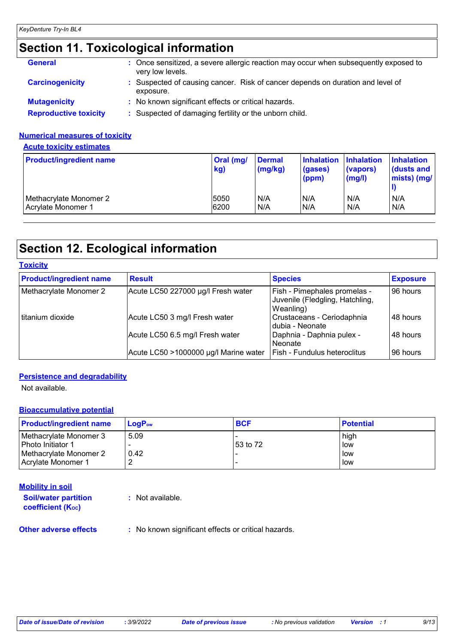# **Section 11. Toxicological information**

| <b>General</b>               | : Once sensitized, a severe allergic reaction may occur when subsequently exposed to<br>very low levels. |
|------------------------------|----------------------------------------------------------------------------------------------------------|
| <b>Carcinogenicity</b>       | : Suspected of causing cancer. Risk of cancer depends on duration and level of<br>exposure.              |
| <b>Mutagenicity</b>          | : No known significant effects or critical hazards.                                                      |
| <b>Reproductive toxicity</b> | : Suspected of damaging fertility or the unborn child.                                                   |

### **Numerical measures of toxicity**

**Acute toxicity estimates**

| <b>Product/ingredient name</b> | Oral (mg/<br>kg) | <b>Dermal</b><br>(mg/kg) | <b>Inhalation</b><br>(gases)<br>(ppm) | <b>Inhalation</b><br>(vapors)<br>$\mathsf{mgl}()$ | <b>Inhalation</b><br>dusts and<br>mists) (mg/ |
|--------------------------------|------------------|--------------------------|---------------------------------------|---------------------------------------------------|-----------------------------------------------|
| Methacrylate Monomer 2         | 5050             | N/A                      | N/A                                   | N/A                                               | N/A                                           |
| Acrylate Monomer 1             | 6200             | N/A                      | IN/A                                  | N/A                                               | N/A                                           |

# **Section 12. Ecological information**

| <b>Toxicity</b>                |                                       |                                                                              |                 |
|--------------------------------|---------------------------------------|------------------------------------------------------------------------------|-----------------|
| <b>Product/ingredient name</b> | <b>Result</b>                         | <b>Species</b>                                                               | <b>Exposure</b> |
| Methacrylate Monomer 2         | Acute LC50 227000 µg/l Fresh water    | Fish - Pimephales promelas -<br>Juvenile (Fledgling, Hatchling,<br>Weanling) | 96 hours        |
| l titanium dioxide             | Acute LC50 3 mg/l Fresh water         | Crustaceans - Ceriodaphnia<br>Idubia - Neonate                               | 48 hours        |
|                                | Acute LC50 6.5 mg/l Fresh water       | Daphnia - Daphnia pulex -<br>l Neonate                                       | 48 hours        |
|                                | Acute LC50 >1000000 µg/l Marine water | Fish - Fundulus heteroclitus                                                 | 96 hours        |

### **Persistence and degradability**

Not available.

### **Bioaccumulative potential**

| <b>Product/ingredient name</b> | $LoaPow$ | <b>BCF</b> | <b>Potential</b> |
|--------------------------------|----------|------------|------------------|
| Methacrylate Monomer 3         | 5.09     |            | high             |
| Photo Initiator 1              |          | 53 to 72   | low              |
| Methacrylate Monomer 2         | 0.42     |            | low              |
| <b>LAcrylate Monomer 1</b>     |          |            | low              |

### **Mobility in soil**

**Soil/water partition coefficient (K**<sub>oc</sub>)

**:** Not available.

**Other adverse effects** : No known significant effects or critical hazards.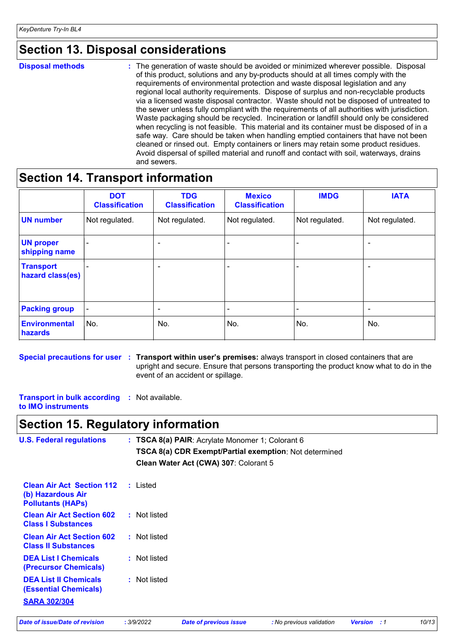# **Section 13. Disposal considerations**

**Disposal methods :**

The generation of waste should be avoided or minimized wherever possible. Disposal of this product, solutions and any by-products should at all times comply with the requirements of environmental protection and waste disposal legislation and any regional local authority requirements. Dispose of surplus and non-recyclable products via a licensed waste disposal contractor. Waste should not be disposed of untreated to the sewer unless fully compliant with the requirements of all authorities with jurisdiction. Waste packaging should be recycled. Incineration or landfill should only be considered when recycling is not feasible. This material and its container must be disposed of in a safe way. Care should be taken when handling emptied containers that have not been cleaned or rinsed out. Empty containers or liners may retain some product residues. Avoid dispersal of spilled material and runoff and contact with soil, waterways, drains and sewers.

# **Section 14. Transport information**

|                                      | <b>DOT</b><br><b>Classification</b> | <b>TDG</b><br><b>Classification</b> | <b>Mexico</b><br><b>Classification</b> | <b>IMDG</b>    | <b>IATA</b>              |
|--------------------------------------|-------------------------------------|-------------------------------------|----------------------------------------|----------------|--------------------------|
| <b>UN number</b>                     | Not regulated.                      | Not regulated.                      | Not regulated.                         | Not regulated. | Not regulated.           |
| <b>UN proper</b><br>shipping name    |                                     |                                     |                                        |                |                          |
| <b>Transport</b><br>hazard class(es) |                                     | -                                   |                                        |                |                          |
| <b>Packing group</b>                 | $\overline{\phantom{a}}$            | ٠                                   | $\blacksquare$                         | -              | $\overline{\phantom{0}}$ |
| Environmental<br>hazards             | No.                                 | No.                                 | No.                                    | No.            | No.                      |

**Special precautions for user Transport within user's premises:** always transport in closed containers that are **:** upright and secure. Ensure that persons transporting the product know what to do in the event of an accident or spillage.

**Transport in bulk according :** Not available. **to IMO instruments**

## **Section 15. Regulatory information**

| <b>U.S. Federal regulations</b>                                                     | : TSCA 8(a) PAIR: Acrylate Monomer 1; Colorant 6<br>TSCA 8(a) CDR Exempt/Partial exemption: Not determined<br>Clean Water Act (CWA) 307: Colorant 5 |
|-------------------------------------------------------------------------------------|-----------------------------------------------------------------------------------------------------------------------------------------------------|
| <b>Clean Air Act Section 112</b><br>(b) Hazardous Air<br><b>Pollutants (HAPS)</b>   | : Listed                                                                                                                                            |
| <b>Clean Air Act Section 602</b><br><b>Class I Substances</b>                       | : Not listed                                                                                                                                        |
| <b>Clean Air Act Section 602</b><br><b>Class II Substances</b>                      | : Not listed                                                                                                                                        |
| <b>DEA List I Chemicals</b><br>(Precursor Chemicals)                                | : Not listed                                                                                                                                        |
| <b>DEA List II Chemicals</b><br><b>(Essential Chemicals)</b><br><b>SARA 302/304</b> | : Not listed                                                                                                                                        |
|                                                                                     |                                                                                                                                                     |

*Date of issue/Date of revision* **:** *3/9/2022 Date of previous issue : No previous validation Version : 1 10/13*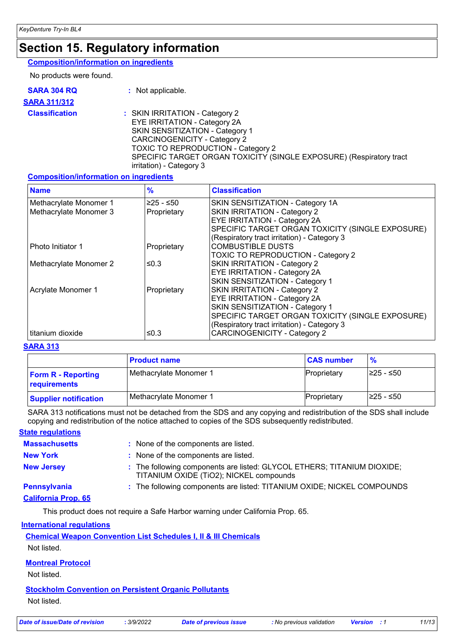# **Section 15. Regulatory information**

### **Composition/information on ingredients**

No products were found.

| <b>SARA 304 RQ</b>    | : Not applicable.                                                                                                                                                                                                                                                                        |
|-----------------------|------------------------------------------------------------------------------------------------------------------------------------------------------------------------------------------------------------------------------------------------------------------------------------------|
| <b>SARA 311/312</b>   |                                                                                                                                                                                                                                                                                          |
| <b>Classification</b> | : SKIN IRRITATION - Category 2<br>EYE IRRITATION - Category 2A<br>SKIN SENSITIZATION - Category 1<br><b>CARCINOGENICITY - Category 2</b><br><b>TOXIC TO REPRODUCTION - Category 2</b><br>SPECIFIC TARGET ORGAN TOXICITY (SINGLE EXPOSURE) (Respiratory tract<br>irritation) - Category 3 |

### **Composition/information on ingredients**

| <b>Name</b>            | $\frac{9}{6}$ | <b>Classification</b>                            |
|------------------------|---------------|--------------------------------------------------|
| Methacrylate Monomer 1 | $≥25 - ≤50$   | SKIN SENSITIZATION - Category 1A                 |
| Methacrylate Monomer 3 | Proprietary   | SKIN IRRITATION - Category 2                     |
|                        |               | <b>EYE IRRITATION - Category 2A</b>              |
|                        |               | SPECIFIC TARGET ORGAN TOXICITY (SINGLE EXPOSURE) |
|                        |               | (Respiratory tract irritation) - Category 3      |
| Photo Initiator 1      | Proprietary   | <b>COMBUSTIBLE DUSTS</b>                         |
|                        |               | <b>TOXIC TO REPRODUCTION - Category 2</b>        |
| Methacrylate Monomer 2 | ≤0.3          | SKIN IRRITATION - Category 2                     |
|                        |               | EYE IRRITATION - Category 2A                     |
|                        |               | SKIN SENSITIZATION - Category 1                  |
| Acrylate Monomer 1     | Proprietary   | SKIN IRRITATION - Category 2                     |
|                        |               | EYE IRRITATION - Category 2A                     |
|                        |               | SKIN SENSITIZATION - Category 1                  |
|                        |               | SPECIFIC TARGET ORGAN TOXICITY (SINGLE EXPOSURE) |
|                        |               | (Respiratory tract irritation) - Category 3      |
| titanium dioxide       | ≤0.3          | <b>CARCINOGENICITY - Category 2</b>              |

### **SARA 313**

|                                           | <b>Product name</b>    | <b>CAS number</b> | $\frac{9}{6}$ |
|-------------------------------------------|------------------------|-------------------|---------------|
| <b>Form R - Reporting</b><br>requirements | Methacrylate Monomer 1 | Proprietary       | I≥25 - ≤50    |
| <b>Supplier notification</b>              | Methacrylate Monomer 1 | Proprietary       | I≥25 - ≤50    |

SARA 313 notifications must not be detached from the SDS and any copying and redistribution of the SDS shall include copying and redistribution of the notice attached to copies of the SDS subsequently redistributed.

### **State regulations**

| <b>Massachusetts</b>       | : None of the components are listed.                                                                               |
|----------------------------|--------------------------------------------------------------------------------------------------------------------|
| <b>New York</b>            | : None of the components are listed.                                                                               |
| <b>New Jersey</b>          | : The following components are listed: GLYCOL ETHERS; TITANIUM DIOXIDE;<br>TITANIUM OXIDE (TIO2); NICKEL compounds |
| <b>Pennsylvania</b>        | : The following components are listed: TITANIUM OXIDE; NICKEL COMPOUNDS                                            |
| <b>California Prop. 65</b> |                                                                                                                    |

This product does not require a Safe Harbor warning under California Prop. 65.

### **International regulations**

| <b>Chemical Weapon Convention List Schedules I, II &amp; III Chemicals</b> |
|----------------------------------------------------------------------------|
|----------------------------------------------------------------------------|

Not listed.

### **Montreal Protocol**

Not listed.

### **Stockholm Convention on Persistent Organic Pollutants**

Not listed.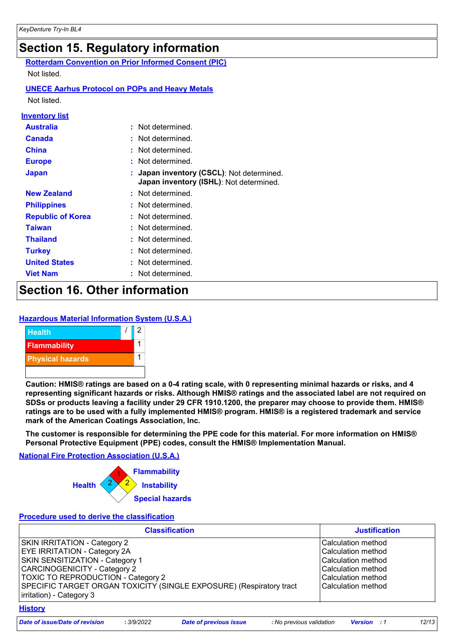|                          | Section 15. Regulatory information                                                 |
|--------------------------|------------------------------------------------------------------------------------|
|                          | <b>Rotterdam Convention on Prior Informed Consent (PIC)</b>                        |
| Not listed.              |                                                                                    |
|                          | <b>UNECE Aarhus Protocol on POPs and Heavy Metals</b>                              |
| Not listed               |                                                                                    |
| <b>Inventory list</b>    |                                                                                    |
| <b>Australia</b>         | Not determined.                                                                    |
| <b>Canada</b>            | Not determined.                                                                    |
| <b>China</b>             | Not determined.                                                                    |
| <b>Europe</b>            | Not determined.                                                                    |
| <b>Japan</b>             | Japan inventory (CSCL): Not determined.<br>Japan inventory (ISHL): Not determined. |
| <b>New Zealand</b>       | : Not determined                                                                   |
| <b>Philippines</b>       | Not determined.                                                                    |
| <b>Republic of Korea</b> | Not determined.                                                                    |
| <b>Taiwan</b>            | Not determined.                                                                    |
| <b>Thailand</b>          | Not determined.                                                                    |
| <b>Turkey</b>            | Not determined.                                                                    |
| <b>United States</b>     | Not determined.                                                                    |
| <b>Viet Nam</b>          | Not determined.                                                                    |

# **Section 16. Other information**

### **Hazardous Material Information System (U.S.A.)**



**Caution: HMIS® ratings are based on a 0-4 rating scale, with 0 representing minimal hazards or risks, and 4 representing significant hazards or risks. Although HMIS® ratings and the associated label are not required on SDSs or products leaving a facility under 29 CFR 1910.1200, the preparer may choose to provide them. HMIS® ratings are to be used with a fully implemented HMIS® program. HMIS® is a registered trademark and service mark of the American Coatings Association, Inc.**

**The customer is responsible for determining the PPE code for this material. For more information on HMIS® Personal Protective Equipment (PPE) codes, consult the HMIS® Implementation Manual.**

**National Fire Protection Association (U.S.A.)**



### **Procedure used to derive the classification**

| <b>Justification</b>                                                                                                                 |
|--------------------------------------------------------------------------------------------------------------------------------------|
| Calculation method<br>lCalculation method<br>lCalculation method<br>Calculation method<br>lCalculation method<br>lCalculation method |
|                                                                                                                                      |

*Date of issue/Date of revision* **:** *3/9/2022 Date of previous issue : No previous validation Version : 1 12/13*